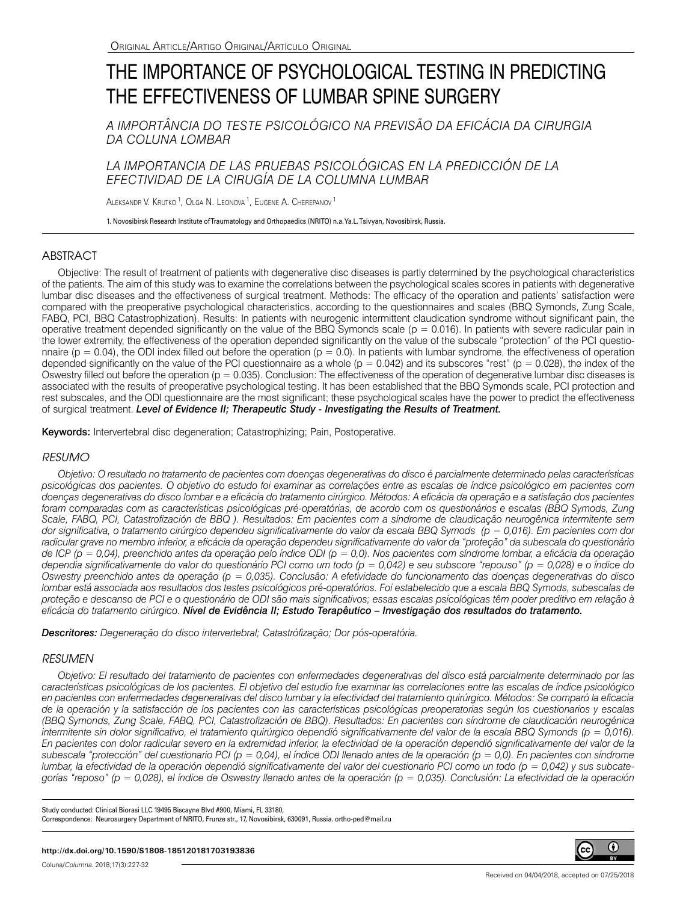# THE IMPORTANCE OF PSYCHOLOGICAL TESTING IN PREDICTING THE EFFECTIVENESS OF LUMBAR SPINE SURGERY

*A IMPORTÂNCIA DO TESTE PSICOLÓGICO NA PREVISÃO DA EFICÁCIA DA CIRURGIA DA COLUNA LOMBAR*

*LA IMPORTANCIA DE LAS PRUEBAS PSICOLÓGICAS EN LA PREDICCIÓN DE LA EFECTIVIDAD DE LA CIRUGÍA DE LA COLUMNA LUMBAR*

Aleksandr V. Krutko <sup>1</sup>, Olga N. Leonova <sup>1</sup>, Eugene A. Cherepanov <sup>1</sup>

1. Novosibirsk Research Institute of Traumatology and Orthopaedics (NRITO) n.a. Ya.L. Tsivyan, Novosibirsk, Russia.

# ABSTRACT

Objective: The result of treatment of patients with degenerative disc diseases is partly determined by the psychological characteristics of the patients. The aim of this study was to examine the correlations between the psychological scales scores in patients with degenerative lumbar disc diseases and the effectiveness of surgical treatment. Methods: The efficacy of the operation and patients' satisfaction were compared with the preoperative psychological characteristics, according to the questionnaires and scales (BBQ Symonds, Zung Scale, FABQ, PCI, BBQ Catastrophization). Results: In patients with neurogenic intermittent claudication syndrome without significant pain, the operative treatment depended significantly on the value of the BBQ Symonds scale ( $p = 0.016$ ). In patients with severe radicular pain in the lower extremity, the effectiveness of the operation depended significantly on the value of the subscale "protection" of the PCI questionnaire ( $p = 0.04$ ), the ODI index filled out before the operation ( $p = 0.0$ ). In patients with lumbar syndrome, the effectiveness of operation depended significantly on the value of the PCI questionnaire as a whole ( $p = 0.042$ ) and its subscores "rest" ( $p = 0.028$ ), the index of the Oswestry filled out before the operation ( $p = 0.035$ ). Conclusion: The effectiveness of the operation of degenerative lumbar disc diseases is associated with the results of preoperative psychological testing. It has been established that the BBQ Symonds scale, PCI protection and rest subscales, and the ODI questionnaire are the most significant; these psychological scales have the power to predict the effectiveness of surgical treatment. *Level of Evidence II; Therapeutic Study - Investigating the Results of Treatment.*

Keywords: Intervertebral disc degeneration; Catastrophizing; Pain, Postoperative.

## *RESUMO*

*Objetivo: O resultado no tratamento de pacientes com doenças degenerativas do disco é parcialmente determinado pelas características psicológicas dos pacientes. O objetivo do estudo foi examinar as correlações entre as escalas de índice psicológico em pacientes com doenças degenerativas do disco lombar e a eficácia do tratamento cirúrgico. Métodos: A eficácia da operação e a satisfação dos pacientes foram comparadas com as características psicológicas pré-operatórias, de acordo com os questionários e escalas (BBQ Symods, Zung Scale, FABQ, PCI, Catastrofización de BBQ ). Resultados: Em pacientes com a síndrome de claudicação neurogênica intermitente sem dor significativa, o tratamento cirúrgico dependeu significativamente do valor da escala BBQ Symods (p = 0,016). Em pacientes com dor radicular grave no membro inferior, a eficácia da operação dependeu significativamente do valor da "proteção" da subescala do questionário de ICP (p = 0,04), preenchido antes da operação pelo índice ODI (p = 0,0). Nos pacientes com síndrome lombar, a eficácia da operação dependia significativamente do valor do questionário PCI como um todo (p = 0,042) e seu subscore "repouso" (p = 0,028) e o índice do Oswestry preenchido antes da operação (p = 0,035). Conclusão: A efetividade do funcionamento das doenças degenerativas do disco lombar está associada aos resultados dos testes psicológicos pré-operatórios. Foi estabelecido que a escala BBQ Symods, subescalas de proteção e descanso de PCI e o questionário de ODI são mais significativos; essas escalas psicológicas têm poder preditivo em relação à eficácia do tratamento cirúrgico. Nível de Evidência II; Estudo Terapêutico – Investigação dos resultados do tratamento.*

*Descritores: Degeneração do disco intervertebral; Catastrófização; Dor pós-operatória.*

# *RESUMEN*

*Objetivo: El resultado del tratamiento de pacientes con enfermedades degenerativas del disco está parcialmente determinado por las características psicológicas de los pacientes. El objetivo del estudio fue examinar las correlaciones entre las escalas de índice psicológico en pacientes con enfermedades degenerativas del disco lumbar y la efectividad del tratamiento quirúrgico. Métodos: Se comparó la eficacia de la operación y la satisfacción de los pacientes con las características psicológicas preoperatorias según los cuestionarios y escalas (BBQ Symonds, Zung Scale, FABQ, PCI, Catastrofización de BBQ). Resultados: En pacientes con síndrome de claudicación neurogénica intermitente sin dolor significativo, el tratamiento quirúrgico dependió significativamente del valor de la escala BBQ Symonds (p = 0,016). En pacientes con dolor radicular severo en la extremidad inferior, la efectividad de la operación dependió significativamente del valor de la subescala "protección" del cuestionario PCI (p = 0,04), el índice ODI llenado antes de la operación (p = 0,0). En pacientes con síndrome lumbar, la efectividad de la operación dependió significativamente del valor del cuestionario PCI como un todo (p = 0,042) y sus subcategorías "reposo" (p = 0,028), el índice de Oswestry llenado antes de la operación (p = 0,035). Conclusión: La efectividad de la operación* 

Study conducted: Clinical Biorasi LLC 19495 Biscayne Blvd #900, Miami, FL 33180, Correspondence: Neurosurgery Department of NRITO, Frunze str., 17, Novosibirsk, 630091, Russia. ortho-ped@mail.ru

Coluna/*Columna*. 2018;17(3):227-32

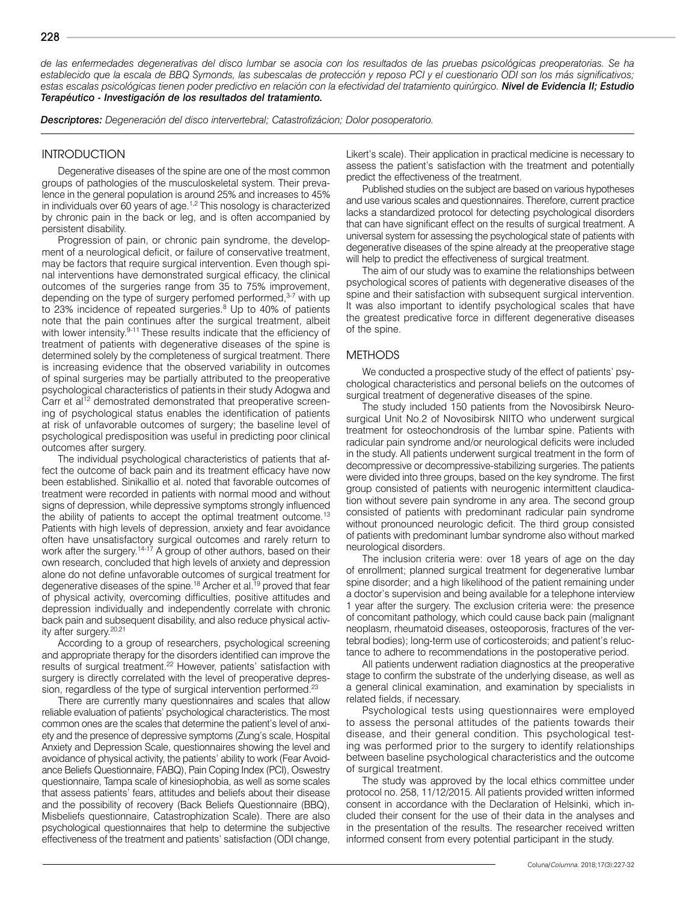*de las enfermedades degenerativas del disco lumbar se asocia con los resultados de las pruebas psicológicas preoperatorias. Se ha establecido que la escala de BBQ Symonds, las subescalas de protección y reposo PCI y el cuestionario ODI son los más significativos; estas escalas psicológicas tienen poder predictivo en relación con la efectividad del tratamiento quirúrgico. Nivel de Evidencia II; Estudio Terapéutico - Investigación de los resultados del tratamiento.* 

*Descriptores: Degeneración del disco intervertebral; Catastrofizácion; Dolor posoperatorio.*

## **INTRODUCTION**

Degenerative diseases of the spine are one of the most common groups of pathologies of the musculoskeletal system. Their prevalence in the general population is around 25% and increases to 45% in individuals over 60 years of age.1,2 This nosology is characterized by chronic pain in the back or leg, and is often accompanied by persistent disability.

Progression of pain, or chronic pain syndrome, the development of a neurological deficit, or failure of conservative treatment, may be factors that require surgical intervention. Even though spinal interventions have demonstrated surgical efficacy, the clinical outcomes of the surgeries range from 35 to 75% improvement, depending on the type of surgery perfomed performed, $3-7$  with up to 23% incidence of repeated surgeries.<sup>8</sup> Up to 40% of patients note that the pain continues after the surgical treatment, albeit with lower intensity.<sup>9-11</sup> These results indicate that the efficiency of treatment of patients with degenerative diseases of the spine is determined solely by the completeness of surgical treatment. There is increasing evidence that the observed variability in outcomes of spinal surgeries may be partially attributed to the preoperative psychological characteristics of patients in their study Adogwa and Carr et al<sup>12</sup> demostrated demonstrated that preoperative screening of psychological status enables the identification of patients at risk of unfavorable outcomes of surgery; the baseline level of psychological predisposition was useful in predicting poor clinical outcomes after surgery.

The individual psychological characteristics of patients that affect the outcome of back pain and its treatment efficacy have now been established. Sinikallio et al. noted that favorable outcomes of treatment were recorded in patients with normal mood and without signs of depression, while depressive symptoms strongly influenced the ability of patients to accept the optimal treatment outcome.<sup>13</sup> Patients with high levels of depression, anxiety and fear avoidance often have unsatisfactory surgical outcomes and rarely return to work after the surgery.<sup>14-17</sup> A group of other authors, based on their own research, concluded that high levels of anxiety and depression alone do not define unfavorable outcomes of surgical treatment for degenerative diseases of the spine.18 Archer et al.19 proved that fear of physical activity, overcoming difficulties, positive attitudes and depression individually and independently correlate with chronic back pain and subsequent disability, and also reduce physical activity after surgery.<sup>20,21</sup>

According to a group of researchers, psychological screening and appropriate therapy for the disorders identified can improve the results of surgical treatment.22 However, patients' satisfaction with surgery is directly correlated with the level of preoperative depression, regardless of the type of surgical intervention performed.<sup>23</sup>

There are currently many questionnaires and scales that allow reliable evaluation of patients' psychological characteristics. The most common ones are the scales that determine the patient's level of anxiety and the presence of depressive symptoms (Zung's scale, Hospital Anxiety and Depression Scale, questionnaires showing the level and avoidance of physical activity, the patients' ability to work (Fear Avoidance Beliefs Questionnaire, FABQ), Pain Coping Index (PCI), Oswestry questionnaire, Tampa scale of kinesiophobia, as well as some scales that assess patients' fears, attitudes and beliefs about their disease and the possibility of recovery (Back Beliefs Questionnaire (BBQ), Misbeliefs questionnaire, Catastrophization Scale). There are also psychological questionnaires that help to determine the subjective effectiveness of the treatment and patients' satisfaction (ODI change, Likert's scale). Their application in practical medicine is necessary to assess the patient's satisfaction with the treatment and potentially predict the effectiveness of the treatment.

Published studies on the subject are based on various hypotheses and use various scales and questionnaires. Therefore, current practice lacks a standardized protocol for detecting psychological disorders that can have significant effect on the results of surgical treatment. A universal system for assessing the psychological state of patients with degenerative diseases of the spine already at the preoperative stage will help to predict the effectiveness of surgical treatment.

The aim of our study was to examine the relationships between psychological scores of patients with degenerative diseases of the spine and their satisfaction with subsequent surgical intervention. It was also important to identify psychological scales that have the greatest predicative force in different degenerative diseases of the spine.

### **METHODS**

We conducted a prospective study of the effect of patients' psychological characteristics and personal beliefs on the outcomes of surgical treatment of degenerative diseases of the spine.

The study included 150 patients from the Novosibirsk Neurosurgical Unit No.2 of Novosibirsk NIITO who underwent surgical treatment for osteochondrosis of the lumbar spine. Patients with radicular pain syndrome and/or neurological deficits were included in the study. All patients underwent surgical treatment in the form of decompressive or decompressive-stabilizing surgeries. The patients were divided into three groups, based on the key syndrome. The first group consisted of patients with neurogenic intermittent claudication without severe pain syndrome in any area. The second group consisted of patients with predominant radicular pain syndrome without pronounced neurologic deficit. The third group consisted of patients with predominant lumbar syndrome also without marked neurological disorders.

The inclusion criteria were: over 18 years of age on the day of enrollment; planned surgical treatment for degenerative lumbar spine disorder; and a high likelihood of the patient remaining under a doctor's supervision and being available for a telephone interview 1 year after the surgery. The exclusion criteria were: the presence of concomitant pathology, which could cause back pain (malignant neoplasm, rheumatoid diseases, osteoporosis, fractures of the vertebral bodies); long-term use of corticosteroids; and patient's reluctance to adhere to recommendations in the postoperative period.

All patients underwent radiation diagnostics at the preoperative stage to confirm the substrate of the underlying disease, as well as a general clinical examination, and examination by specialists in related fields, if necessary.

Psychological tests using questionnaires were employed to assess the personal attitudes of the patients towards their disease, and their general condition. This psychological testing was performed prior to the surgery to identify relationships between baseline psychological characteristics and the outcome of surgical treatment.

The study was approved by the local ethics committee under protocol no. 258, 11/12/2015. All patients provided written informed consent in accordance with the Declaration of Helsinki, which included their consent for the use of their data in the analyses and in the presentation of the results. The researcher received written informed consent from every potential participant in the study.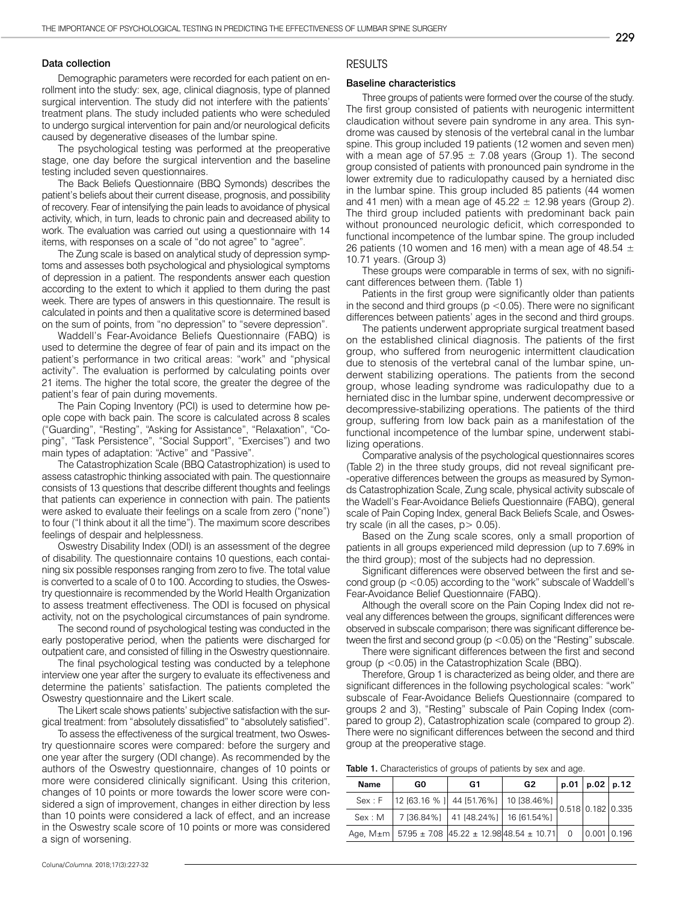#### Data collection

Demographic parameters were recorded for each patient on enrollment into the study: sex, age, clinical diagnosis, type of planned surgical intervention. The study did not interfere with the patients' treatment plans. The study included patients who were scheduled to undergo surgical intervention for pain and/or neurological deficits caused by degenerative diseases of the lumbar spine.

The psychological testing was performed at the preoperative stage, one day before the surgical intervention and the baseline testing included seven questionnaires.

The Back Beliefs Questionnaire (BBQ Symonds) describes the patient's beliefs about their current disease, prognosis, and possibility of recovery. Fear of intensifying the pain leads to avoidance of physical activity, which, in turn, leads to chronic pain and decreased ability to work. The evaluation was carried out using a questionnaire with 14 items, with responses on a scale of "do not agree" to "agree".

The Zung scale is based on analytical study of depression symptoms and assesses both psychological and physiological symptoms of depression in a patient. The respondents answer each question according to the extent to which it applied to them during the past week. There are types of answers in this questionnaire. The result is calculated in points and then a qualitative score is determined based on the sum of points, from "no depression" to "severe depression".

Waddell's Fear-Avoidance Beliefs Questionnaire (FABQ) is used to determine the degree of fear of pain and its impact on the patient's performance in two critical areas: "work" and "physical activity". The evaluation is performed by calculating points over 21 items. The higher the total score, the greater the degree of the patient's fear of pain during movements.

The Pain Coping Inventory (PCI) is used to determine how people cope with back pain. The score is calculated across 8 scales ("Guarding", "Resting", "Asking for Assistance", "Relaxation", "Coping", "Task Persistence", "Social Support", "Exercises") and two main types of adaptation: "Active" and "Passive".

The Catastrophization Scale (BBQ Catastrophization) is used to assess catastrophic thinking associated with pain. The questionnaire consists of 13 questions that describe different thoughts and feelings that patients can experience in connection with pain. The patients were asked to evaluate their feelings on a scale from zero ("none") to four ("I think about it all the time"). The maximum score describes feelings of despair and helplessness.

Oswestry Disability Index (ODI) is an assessment of the degree of disability. The questionnaire contains 10 questions, each containing six possible responses ranging from zero to five. The total value is converted to a scale of 0 to 100. According to studies, the Oswestry questionnaire is recommended by the World Health Organization to assess treatment effectiveness. The ODI is focused on physical activity, not on the psychological circumstances of pain syndrome.

The second round of psychological testing was conducted in the early postoperative period, when the patients were discharged for outpatient care, and consisted of filling in the Oswestry questionnaire.

The final psychological testing was conducted by a telephone interview one year after the surgery to evaluate its effectiveness and determine the patients' satisfaction. The patients completed the Oswestry questionnaire and the Likert scale.

The Likert scale shows patients' subjective satisfaction with the surgical treatment: from "absolutely dissatisfied" to "absolutely satisfied".

To assess the effectiveness of the surgical treatment, two Oswestry questionnaire scores were compared: before the surgery and one year after the surgery (ODI change). As recommended by the authors of the Oswestry questionnaire, changes of 10 points or more were considered clinically significant. Using this criterion, changes of 10 points or more towards the lower score were considered a sign of improvement, changes in either direction by less than 10 points were considered a lack of effect, and an increase in the Oswestry scale score of 10 points or more was considered a sign of worsening.

# RESULTS

#### Baseline characteristics

Three groups of patients were formed over the course of the study. The first group consisted of patients with neurogenic intermittent claudication without severe pain syndrome in any area. This syndrome was caused by stenosis of the vertebral canal in the lumbar spine. This group included 19 patients (12 women and seven men) with a mean age of 57.95  $\pm$  7.08 years (Group 1). The second group consisted of patients with pronounced pain syndrome in the lower extremity due to radiculopathy caused by a herniated disc in the lumbar spine. This group included 85 patients (44 women and 41 men) with a mean age of  $45.22 \pm 12.98$  years (Group 2). The third group included patients with predominant back pain without pronounced neurologic deficit, which corresponded to functional incompetence of the lumbar spine. The group included 26 patients (10 women and 16 men) with a mean age of 48.54  $\pm$ 10.71 years. (Group 3)

These groups were comparable in terms of sex, with no significant differences between them. (Table 1)

Patients in the first group were significantly older than patients in the second and third groups ( $p < 0.05$ ). There were no significant differences between patients' ages in the second and third groups.

The patients underwent appropriate surgical treatment based on the established clinical diagnosis. The patients of the first group, who suffered from neurogenic intermittent claudication due to stenosis of the vertebral canal of the lumbar spine, underwent stabilizing operations. The patients from the second group, whose leading syndrome was radiculopathy due to a herniated disc in the lumbar spine, underwent decompressive or decompressive-stabilizing operations. The patients of the third group, suffering from low back pain as a manifestation of the functional incompetence of the lumbar spine, underwent stabilizing operations.

Comparative analysis of the psychological questionnaires scores (Table 2) in the three study groups, did not reveal significant pre- -operative differences between the groups as measured by Symonds Catastrophization Scale, Zung scale, physical activity subscale of the Wadell's Fear-Avoidance Beliefs Questionnaire (FABQ), general scale of Pain Coping Index, general Back Beliefs Scale, and Oswestry scale (in all the cases,  $p > 0.05$ ).

Based on the Zung scale scores, only a small proportion of patients in all groups experienced mild depression (up to 7.69% in the third group); most of the subjects had no depression.

Significant differences were observed between the first and second group (p <0.05) according to the "work" subscale of Waddell's Fear-Avoidance Belief Questionnaire (FABQ).

Although the overall score on the Pain Coping Index did not reveal any differences between the groups, significant differences were observed in subscale comparison; there was significant difference between the first and second group (p <0.05) on the "Resting" subscale.

There were significant differences between the first and second group (p <0.05) in the Catastrophization Scale (BBQ).

Therefore, Group 1 is characterized as being older, and there are significant differences in the following psychological scales: "work" subscale of Fear-Avoidance Beliefs Questionnaire (compared to groups 2 and 3), "Resting" subscale of Pain Coping Index (compared to group 2), Catastrophization scale (compared to group 2). There were no significant differences between the second and third group at the preoperative stage.

| Table 1. Characteristics of groups of patients by sex and age. |  |  |  |  |  |  |  |  |
|----------------------------------------------------------------|--|--|--|--|--|--|--|--|
|----------------------------------------------------------------|--|--|--|--|--|--|--|--|

| <b>Name</b> | G0                                                          | G1 | G2 | $p.01$   $p.02$   $p.12$ |  |
|-------------|-------------------------------------------------------------|----|----|--------------------------|--|
|             | Sex: F   12 [63.16 % ]   44 [51.76%]   10 [38.46%]          |    |    | 0.518 0.182 0.335        |  |
|             | Sex: M   7 [36.84%]   41 [48.24%]   16 [61.54%]             |    |    |                          |  |
|             | Age, M±m   57.95 ± 7.08 $ 45.22 \pm 12.98 48.54 \pm 10.71 $ |    |    | $0.001$ $0.196$          |  |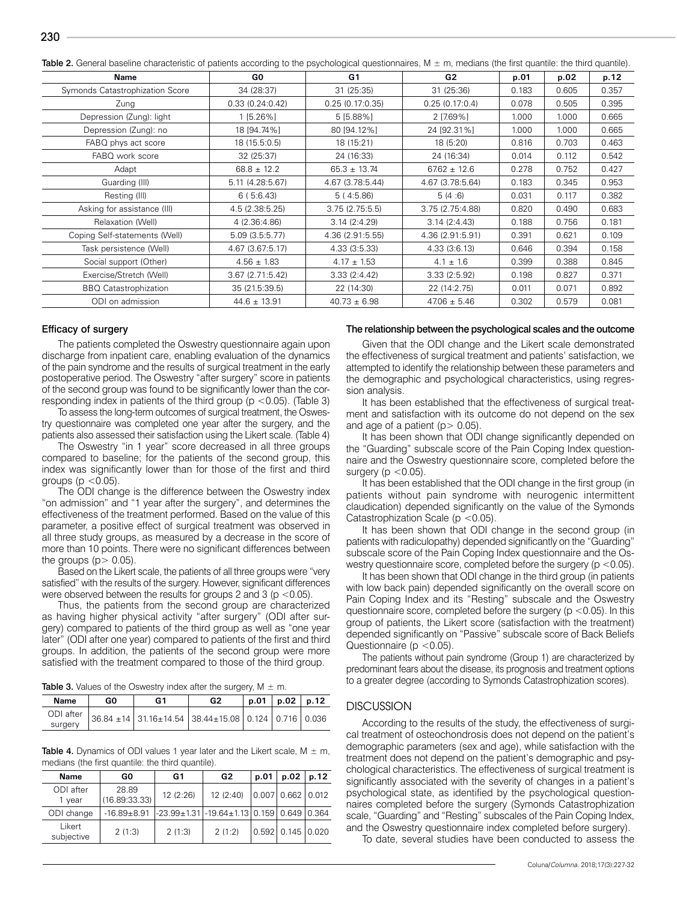| Table 2. General baseline characteristic of patients according to the psychological questionnaires, M ± m, medians (the first quantile: the third quantile). |  |  |  |  |
|--------------------------------------------------------------------------------------------------------------------------------------------------------------|--|--|--|--|
|                                                                                                                                                              |  |  |  |  |

| Name                            | GO.              | G <sub>1</sub>   | G2               | p.01  | p.02  | p.12  |
|---------------------------------|------------------|------------------|------------------|-------|-------|-------|
| Symonds Catastrophization Score | 34 (28:37)       | 31 (25:35)       | 31 (25:36)       | 0.183 | 0.605 | 0.357 |
| Zung                            | 0.33(0.24:0.42)  | 0.25(0.17:0.35)  | 0.25(0.17:0.4)   | 0.078 | 0.505 | 0.395 |
| Depression (Zung): light        | $1$ [5.26%]      | 5 [5.88%]        | 2 [7.69%]        | 1.000 | 1.000 | 0.665 |
| Depression (Zung): no           | 18 [94.74%]      | 80 [94.12%]      | 24 [92.31%]      | 1.000 | 1.000 | 0.665 |
| FABQ phys act score             | 18 (15.5:0.5)    | 18 (15:21)       | 18 (5:20)        | 0.816 | 0.703 | 0.463 |
| FABQ work score                 | 32 (25:37)       | 24 (16:33)       | 24 (16:34)       | 0.014 | 0.112 | 0.542 |
| Adapt                           | $68.8 \pm 12.2$  | $65.3 \pm 13.74$ | $67.62 \pm 12.6$ | 0.278 | 0.752 | 0.427 |
| Guarding (III)                  | 5.11 (4.28:5.67) | 4.67 (3.78:5.44) | 4.67 (3.78:5.64) | 0.183 | 0.345 | 0.953 |
| Resting (III)                   | 6(5:6.43)        | 5(4:5.86)        | 5(4:6)           | 0.031 | 0.117 | 0.382 |
| Asking for assistance (III)     | 4.5 (2.38:5.25)  | 3.75(2.75:5.5)   | 3.75 (2.75:4.88) | 0.820 | 0.490 | 0.683 |
| Relaxation (Well)               | 4 (2.36:4.86)    | 3.14(2:4.29)     | 3.14(2:4.43)     | 0.188 | 0.756 | 0.181 |
| Coping Self-statements (Well)   | 5.09 (3.5:5.77)  | 4.36 (2.91:5.55) | 4.36 (2.91:5.91) | 0.391 | 0.621 | 0.109 |
| Task persistence (Well)         | 4.67 (3.67:5.17) | 4.33(3:5.33)     | 4.33(3:6.13)     | 0.646 | 0.394 | 0.158 |
| Social support (Other)          | $4.56 \pm 1.83$  | $4.17 \pm 1.53$  | $4.1 \pm 1.6$    | 0.399 | 0.388 | 0.845 |
| Exercise/Stretch (Well)         | 3.67(2.71:5.42)  | 3.33(2:4.42)     | 3.33(2:5.92)     | 0.198 | 0.827 | 0.371 |
| <b>BBQ</b> Catastrophization    | 35 (21.5:39.5)   | 22 (14:30)       | 22 (14:2.75)     | 0.011 | 0.071 | 0.892 |
| ODI on admission                | $44.6 \pm 13.91$ | $40.73 \pm 6.98$ | $47.06 \pm 5.46$ | 0.302 | 0.579 | 0.081 |

#### Efficacy of surgery

The patients completed the Oswestry questionnaire again upon discharge from inpatient care, enabling evaluation of the dynamics of the pain syndrome and the results of surgical treatment in the early postoperative period. The Oswestry "after surgery" score in patients of the second group was found to be significantly lower than the corresponding index in patients of the third group ( $p < 0.05$ ). (Table 3)

To assess the long-term outcomes of surgical treatment, the Oswestry questionnaire was completed one year after the surgery, and the patients also assessed their satisfaction using the Likert scale. (Table 4)

The Oswestry "in 1 year" score decreased in all three groups compared to baseline; for the patients of the second group, this index was significantly lower than for those of the first and third groups ( $p < 0.05$ ).

The ODI change is the difference between the Oswestry index "on admission" and "1 year after the surgery", and determines the effectiveness of the treatment performed. Based on the value of this parameter, a positive effect of surgical treatment was observed in all three study groups, as measured by a decrease in the score of more than 10 points. There were no significant differences between the groups  $(p > 0.05)$ .

Based on the Likert scale, the patients of all three groups were "very satisfied" with the results of the surgery. However, significant differences were observed between the results for groups 2 and 3 ( $p < 0.05$ ).

Thus, the patients from the second group are characterized as having higher physical activity "after surgery" (ODI after surgery) compared to patients of the third group as well as "one year later" (ODI after one year) compared to patients of the first and third groups. In addition, the patients of the second group were more satisfied with the treatment compared to those of the third group.

**Table 3.** Values of the Oswestry index after the surgery,  $M + m$ .

| <b>Name</b> | G٥ | G1 | G2                                                                         |  | p.01   p.02   p.12 |  |
|-------------|----|----|----------------------------------------------------------------------------|--|--------------------|--|
| surgery     |    |    | ODI after   36.84 ± 14   31.16±14.54   38.44±15.08   0.124   0.716   0.036 |  |                    |  |

**Table 4.** Dynamics of ODI values 1 year later and the Likert scale,  $M \pm m$ , medians (the first quantile: the third quantile).

| Name                 | G0                     | G1        | G2                                                      | p.01 | p.02                        | p.12 |
|----------------------|------------------------|-----------|---------------------------------------------------------|------|-----------------------------|------|
| ODI after<br>1 year  | 28.89<br>(16.89:33.33) | 12 (2:26) | 12 (2:40)                                               |      | $0.007$ 0.662 0.012         |      |
| ODI change           | $-16.89 + 8.91$        |           | $ -23.99 \pm 1.31 $ -19.64 $\pm$ 1.13 0.159 0.649 0.364 |      |                             |      |
| Likert<br>subjective | 2(1:3)                 | 2(1:3)    | 2(1:2)                                                  |      | $0.592$   $0.145$   $0.020$ |      |

#### The relationship between the psychological scales and the outcome

Given that the ODI change and the Likert scale demonstrated the effectiveness of surgical treatment and patients' satisfaction, we attempted to identify the relationship between these parameters and the demographic and psychological characteristics, using regression analysis.

It has been established that the effectiveness of surgical treatment and satisfaction with its outcome do not depend on the sex and age of a patient  $(p > 0.05)$ .

It has been shown that ODI change significantly depended on the "Guarding" subscale score of the Pain Coping Index questionnaire and the Oswestry questionnaire score, completed before the surgery ( $p < 0.05$ ).

It has been established that the ODI change in the first group (in patients without pain syndrome with neurogenic intermittent claudication) depended significantly on the value of the Symonds Catastrophization Scale (p <0.05).

It has been shown that ODI change in the second group (in patients with radiculopathy) depended significantly on the "Guarding" subscale score of the Pain Coping Index questionnaire and the Oswestry questionnaire score, completed before the surgery ( $p < 0.05$ ).

It has been shown that ODI change in the third group (in patients with low back pain) depended significantly on the overall score on Pain Coping Index and its "Resting" subscale and the Oswestry questionnaire score, completed before the surgery ( $p$  <0.05). In this group of patients, the Likert score (satisfaction with the treatment) depended significantly on "Passive" subscale score of Back Beliefs Questionnaire ( $p < 0.05$ ).

The patients without pain syndrome (Group 1) are characterized by predominant fears about the disease, its prognosis and treatment options to a greater degree (according to Symonds Catastrophization scores).

#### **DISCUSSION**

According to the results of the study, the effectiveness of surgical treatment of osteochondrosis does not depend on the patient's demographic parameters (sex and age), while satisfaction with the treatment does not depend on the patient's demographic and psychological characteristics. The effectiveness of surgical treatment is significantly associated with the severity of changes in a patient's psychological state, as identified by the psychological questionnaires completed before the surgery (Symonds Catastrophization scale, "Guarding" and "Resting" subscales of the Pain Coping Index, and the Oswestry questionnaire index completed before surgery).

To date, several studies have been conducted to assess the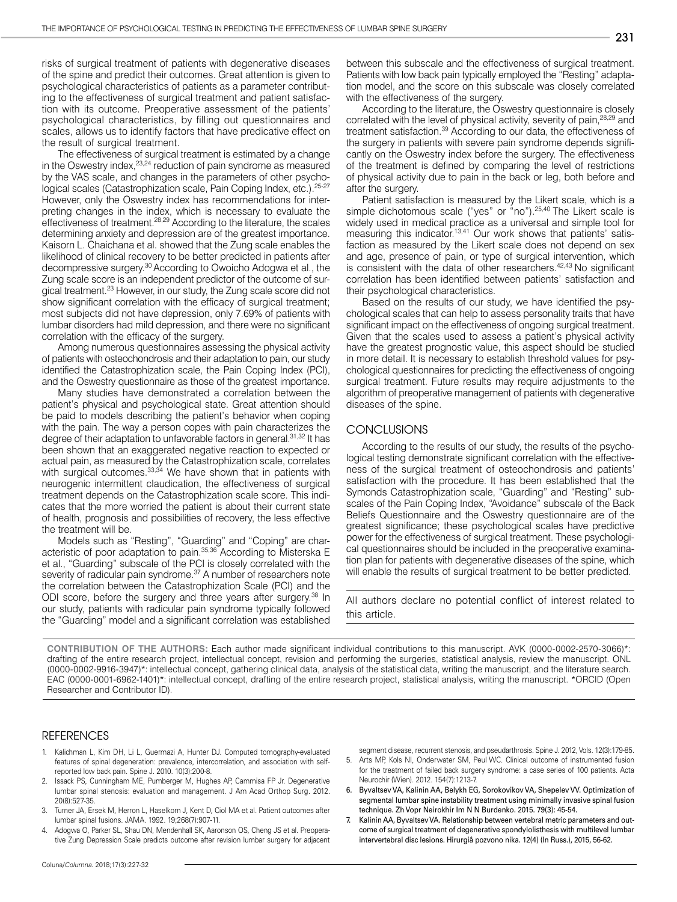risks of surgical treatment of patients with degenerative diseases of the spine and predict their outcomes. Great attention is given to psychological characteristics of patients as a parameter contributing to the effectiveness of surgical treatment and patient satisfaction with its outcome. Preoperative assessment of the patients' psychological characteristics, by filling out questionnaires and scales, allows us to identify factors that have predicative effect on the result of surgical treatment.

The effectiveness of surgical treatment is estimated by a change in the Oswestry index, <sup>23,24</sup> reduction of pain syndrome as measured by the VAS scale, and changes in the parameters of other psychological scales (Catastrophization scale, Pain Coping Index, etc.).<sup>25-27</sup> However, only the Oswestry index has recommendations for interpreting changes in the index, which is necessary to evaluate the effectiveness of treatment.28,29 According to the literature, the scales determining anxiety and depression are of the greatest importance. Kaisorn L. Chaichana et al. showed that the Zung scale enables the likelihood of clinical recovery to be better predicted in patients after decompressive surgery.30 According to Owoicho Adogwa et al., the Zung scale score is an independent predictor of the outcome of surgical treatment.23 However, in our study, the Zung scale score did not show significant correlation with the efficacy of surgical treatment; most subjects did not have depression, only 7.69% of patients with lumbar disorders had mild depression, and there were no significant correlation with the efficacy of the surgery.

Among numerous questionnaires assessing the physical activity of patients with osteochondrosis and their adaptation to pain, our study identified the Catastrophization scale, the Pain Coping Index (PCI), and the Oswestry questionnaire as those of the greatest importance.

Many studies have demonstrated a correlation between the patient's physical and psychological state. Great attention should be paid to models describing the patient's behavior when coping with the pain. The way a person copes with pain characterizes the degree of their adaptation to unfavorable factors in general.<sup>31,32</sup> It has been shown that an exaggerated negative reaction to expected or actual pain, as measured by the Catastrophization scale, correlates with surgical outcomes.<sup>33,34</sup> We have shown that in patients with neurogenic intermittent claudication, the effectiveness of surgical treatment depends on the Catastrophization scale score. This indicates that the more worried the patient is about their current state of health, prognosis and possibilities of recovery, the less effective the treatment will be.

Models such as "Resting", "Guarding" and "Coping" are characteristic of poor adaptation to pain.35,36 According to Misterska E et al., "Guarding" subscale of the PCI is closely correlated with the severity of radicular pain syndrome.<sup>37</sup> A number of researchers note the correlation between the Catastrophization Scale (PCI) and the ODI score, before the surgery and three years after surgery.<sup>38</sup> In our study, patients with radicular pain syndrome typically followed the "Guarding" model and a significant correlation was established between this subscale and the effectiveness of surgical treatment. Patients with low back pain typically employed the "Resting" adaptation model, and the score on this subscale was closely correlated with the effectiveness of the surgery.

According to the literature, the Oswestry questionnaire is closely correlated with the level of physical activity, severity of pain,<sup>28,29</sup> and treatment satisfaction.39 According to our data, the effectiveness of the surgery in patients with severe pain syndrome depends significantly on the Oswestry index before the surgery. The effectiveness of the treatment is defined by comparing the level of restrictions of physical activity due to pain in the back or leg, both before and after the surgery.

Patient satisfaction is measured by the Likert scale, which is a simple dichotomous scale ("yes" or "no").<sup>25,40</sup> The Likert scale is widely used in medical practice as a universal and simple tool for measuring this indicator.<sup>13,41</sup> Our work shows that patients' satisfaction as measured by the Likert scale does not depend on sex and age, presence of pain, or type of surgical intervention, which is consistent with the data of other researchers.<sup>42,43</sup> No significant correlation has been identified between patients' satisfaction and their psychological characteristics.

Based on the results of our study, we have identified the psychological scales that can help to assess personality traits that have significant impact on the effectiveness of ongoing surgical treatment. Given that the scales used to assess a patient's physical activity have the greatest prognostic value, this aspect should be studied in more detail. It is necessary to establish threshold values for psychological questionnaires for predicting the effectiveness of ongoing surgical treatment. Future results may require adjustments to the algorithm of preoperative management of patients with degenerative diseases of the spine.

## **CONCLUSIONS**

According to the results of our study, the results of the psychological testing demonstrate significant correlation with the effectiveness of the surgical treatment of osteochondrosis and patients' satisfaction with the procedure. It has been established that the Symonds Catastrophization scale, "Guarding" and "Resting" subscales of the Pain Coping Index, "Avoidance" subscale of the Back Beliefs Questionnaire and the Oswestry questionnaire are of the greatest significance; these psychological scales have predictive power for the effectiveness of surgical treatment. These psychological questionnaires should be included in the preoperative examination plan for patients with degenerative diseases of the spine, which will enable the results of surgical treatment to be better predicted.

All authors declare no potential conflict of interest related to this article.

**CONTRIBUTION OF THE AUTHORS:** Each author made significant individual contributions to this manuscript. AVK (0000-0002-2570-3066)\*: drafting of the entire research project, intellectual concept, revision and performing the surgeries, statistical analysis, review the manuscript. ONL (0000-0002-9916-3947)\*: intellectual concept, gathering clinical data, analysis of the statistical data, writing the manuscript, and the literature search. EAC (0000-0001-6962-1401)\*: intellectual concept, drafting of the entire research project, statistical analysis, writing the manuscript. \*ORCID (Open Researcher and Contributor ID).

#### REFERENCES

- 1. Kalichman L, Kim DH, Li L, Guermazi A, Hunter DJ. Computed tomography-evaluated features of spinal degeneration: prevalence, intercorrelation, and association with selfreported low back pain. Spine J. 2010. 10(3):200-8.
- Issack PS, Cunningham ME, Pumberger M, Hughes AP, Cammisa FP Jr. Degenerative lumbar spinal stenosis: evaluation and management. J Am Acad Orthop Surg. 2012. 20(8):527-35.
- Turner JA, Ersek M, Herron L, Haselkorn J, Kent D, Ciol MA et al. Patient outcomes after lumbar spinal fusions. JAMA. 1992. 19;268(7):907-11.
- 4. Adogwa O, Parker SL, Shau DN, Mendenhall SK, Aaronson OS, Cheng JS et al. Preoperative Zung Depression Scale predicts outcome after revision lumbar surgery for adjacent

segment disease, recurrent stenosis, and pseudarthrosis. Spine J. 2012, Vols. 12(3):179-85.

- 5. Arts MP, Kols NI, Onderwater SM, Peul WC. Clinical outcome of instrumented fusion for the treatment of failed back surgery syndrome: a case series of 100 patients. Acta Neurochir (Wien). 2012. 154(7):1213-7.
- 6. Byvaltsev VA, Kalinin AA, Belykh EG, Sorokovikov VA, Shepelev VV. Optimization of segmental lumbar spine instability treatment using minimally invasive spinal fusion technique. Zh Vopr Neirokhir Im N N Burdenko. 2015. 79(3): 45-54.
- 7. Kalinin AA, Byvaltsev VA. Relationship between vertebral metric parameters and outcome of surgical treatment of degenerative spondylolisthesis with multilevel lumbar intervertebral disc lesions. Hirurgiâ pozvono nika. 12(4) (In Russ.), 2015, 56-62.